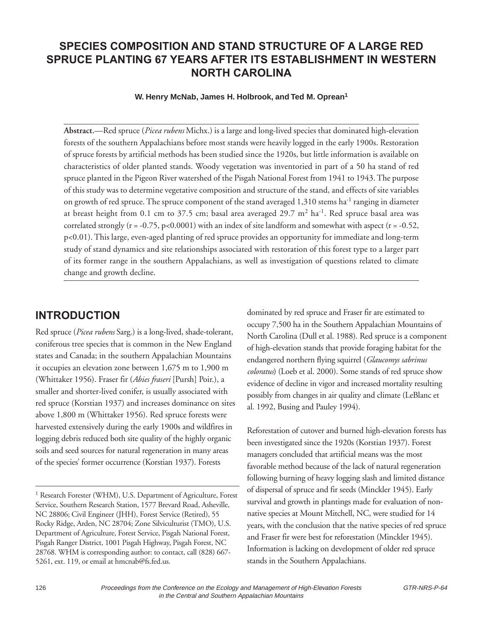#### **SPECIES COMPOSITION AND STAND STRUCTURE OF A LARGE RED SPRUCE PLANTING 67 YEARS AFTER ITS ESTABLISHMENT IN WESTERN NORTH CAROLINA**

**W. Henry McNab, James H. Holbrook, and Ted M. Oprean1**

**Abstract.**—Red spruce (*Picea rubens* Michx.) is a large and long-lived species that dominated high-elevation forests of the southern Appalachians before most stands were heavily logged in the early 1900s. Restoration of spruce forests by artificial methods has been studied since the 1920s, but little information is available on characteristics of older planted stands. Woody vegetation was inventoried in part of a 50 ha stand of red spruce planted in the Pigeon River watershed of the Pisgah National Forest from 1941 to 1943. The purpose of this study was to determine vegetative composition and structure of the stand, and effects of site variables on growth of red spruce. The spruce component of the stand averaged  $1,310$  stems ha<sup>-1</sup> ranging in diameter at breast height from 0.1 cm to 37.5 cm; basal area averaged 29.7  $m^2$  ha<sup>-1</sup>. Red spruce basal area was correlated strongly ( $r = -0.75$ ,  $p < 0.0001$ ) with an index of site landform and somewhat with aspect ( $r = -0.52$ , p<0.01). This large, even-aged planting of red spruce provides an opportunity for immediate and long-term study of stand dynamics and site relationships associated with restoration of this forest type to a larger part of its former range in the southern Appalachians, as well as investigation of questions related to climate change and growth decline.

#### **INTRODUCTION**

Red spruce (*Picea rubens* Sarg.) is a long-lived, shade-tolerant, coniferous tree species that is common in the New England states and Canada; in the southern Appalachian Mountains it occupies an elevation zone between 1,675 m to 1,900 m (Whittaker 1956). Fraser fir (*Abies fraseri* [Pursh] Poir.), a smaller and shorter-lived conifer, is usually associated with red spruce (Korstian 1937) and increases dominance on sites above 1,800 m (Whittaker 1956). Red spruce forests were harvested extensively during the early 1900s and wildfires in logging debris reduced both site quality of the highly organic soils and seed sources for natural regeneration in many areas of the species' former occurrence (Korstian 1937). Forests

dominated by red spruce and Fraser fir are estimated to occupy 7,500 ha in the Southern Appalachian Mountains of North Carolina (Dull et al. 1988). Red spruce is a component of high-elevation stands that provide foraging habitat for the endangered northern flying squirrel (*Glaucomys sabrinus coloratus*) (Loeb et al. 2000). Some stands of red spruce show evidence of decline in vigor and increased mortality resulting possibly from changes in air quality and climate (LeBlanc et al. 1992, Busing and Pauley 1994).

Reforestation of cutover and burned high-elevation forests has been investigated since the 1920s (Korstian 1937). Forest managers concluded that artificial means was the most favorable method because of the lack of natural regeneration following burning of heavy logging slash and limited distance of dispersal of spruce and fir seeds (Minckler 1945). Early survival and growth in plantings made for evaluation of nonnative species at Mount Mitchell, NC, were studied for 14 years, with the conclusion that the native species of red spruce and Fraser fir were best for reforestation (Minckler 1945). Information is lacking on development of older red spruce stands in the Southern Appalachians.

<sup>&</sup>lt;sup>1</sup> Research Forester (WHM), U.S. Department of Agriculture, Forest Service, Southern Research Station, 1577 Brevard Road, Asheville, NC 28806; Civil Engineer (JHH), Forest Service (Retired), 55 Rocky Ridge, Arden, NC 28704; Zone Silviculturist (TMO), U.S. Department of Agriculture, Forest Service, Pisgah National Forest, Pisgah Ranger District, 1001 Pisgah Highway, Pisgah Forest, NC 28768. WHM is corresponding author: to contact, call (828) 667- 5261, ext. 119, or email at hmcnab@fs.fed.us.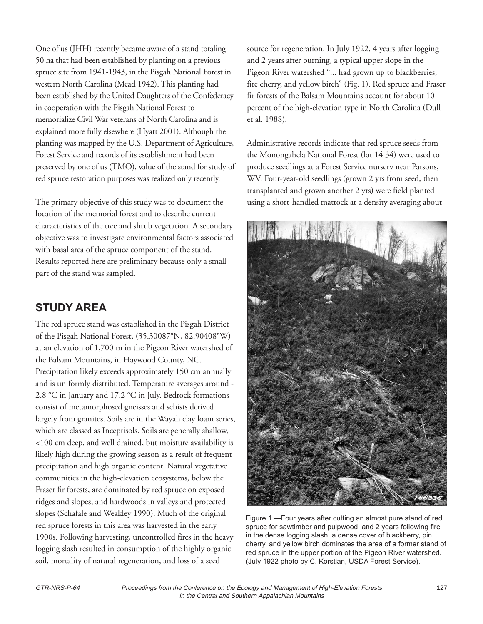One of us (JHH) recently became aware of a stand totaling 50 ha that had been established by planting on a previous spruce site from 1941-1943, in the Pisgah National Forest in western North Carolina (Mead 1942). This planting had been established by the United Daughters of the Confederacy in cooperation with the Pisgah National Forest to memorialize Civil War veterans of North Carolina and is explained more fully elsewhere (Hyatt 2001). Although the planting was mapped by the U.S. Department of Agriculture, Forest Service and records of its establishment had been preserved by one of us (TMO), value of the stand for study of red spruce restoration purposes was realized only recently.

The primary objective of this study was to document the location of the memorial forest and to describe current characteristics of the tree and shrub vegetation. A secondary objective was to investigate environmental factors associated with basal area of the spruce component of the stand. Results reported here are preliminary because only a small part of the stand was sampled.

# **STUDY AREA**

The red spruce stand was established in the Pisgah District of the Pisgah National Forest, (35.30087°N, 82.90408°W) at an elevation of 1,700 m in the Pigeon River watershed of the Balsam Mountains, in Haywood County, NC. Precipitation likely exceeds approximately 150 cm annually and is uniformly distributed. Temperature averages around - 2.8 °C in January and 17.2 °C in July. Bedrock formations consist of metamorphosed gneisses and schists derived largely from granites. Soils are in the Wayah clay loam series, which are classed as Inceptisols. Soils are generally shallow, <100 cm deep, and well drained, but moisture availability is likely high during the growing season as a result of frequent precipitation and high organic content. Natural vegetative communities in the high-elevation ecosystems, below the Fraser fir forests, are dominated by red spruce on exposed ridges and slopes, and hardwoods in valleys and protected slopes (Schafale and Weakley 1990). Much of the original red spruce forests in this area was harvested in the early 1900s. Following harvesting, uncontrolled fires in the heavy logging slash resulted in consumption of the highly organic soil, mortality of natural regeneration, and loss of a seed

source for regeneration. In July 1922, 4 years after logging and 2 years after burning, a typical upper slope in the Pigeon River watershed "... had grown up to blackberries, fire cherry, and yellow birch" (Fig. 1). Red spruce and Fraser fir forests of the Balsam Mountains account for about 10 percent of the high-elevation type in North Carolina (Dull et al. 1988).

Administrative records indicate that red spruce seeds from the Monongahela National Forest (lot 14 34) were used to produce seedlings at a Forest Service nursery near Parsons, WV. Four-year-old seedlings (grown 2 yrs from seed, then transplanted and grown another 2 yrs) were field planted using a short-handled mattock at a density averaging about



Figure 1.—Four years after cutting an almost pure stand of red spruce for sawtimber and pulpwood, and 2 years following fire in the dense logging slash, a dense cover of blackberry, pin cherry, and yellow birch dominates the area of a former stand of red spruce in the upper portion of the Pigeon River watershed. (July 1922 photo by C. Korstian, USDA Forest Service).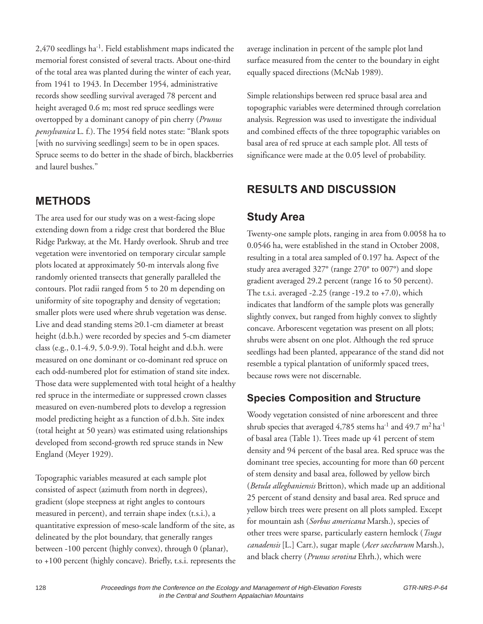2,470 seedlings ha-1. Field establishment maps indicated the memorial forest consisted of several tracts. About one-third of the total area was planted during the winter of each year, from 1941 to 1943. In December 1954, administrative records show seedling survival averaged 78 percent and height averaged 0.6 m; most red spruce seedlings were overtopped by a dominant canopy of pin cherry (*Prunus pensylvanica* L. f.). The 1954 field notes state: "Blank spots [with no surviving seedlings] seem to be in open spaces. Spruce seems to do better in the shade of birch, blackberries and laurel bushes."

#### **METHODS**

The area used for our study was on a west-facing slope extending down from a ridge crest that bordered the Blue Ridge Parkway, at the Mt. Hardy overlook. Shrub and tree vegetation were inventoried on temporary circular sample plots located at approximately 50-m intervals along five randomly oriented transects that generally paralleled the contours. Plot radii ranged from 5 to 20 m depending on uniformity of site topography and density of vegetation; smaller plots were used where shrub vegetation was dense. Live and dead standing stems ≥0.1-cm diameter at breast height (d.b.h.) were recorded by species and 5-cm diameter class (e.g., 0.1-4.9, 5.0-9.9). Total height and d.b.h. were measured on one dominant or co-dominant red spruce on each odd-numbered plot for estimation of stand site index. Those data were supplemented with total height of a healthy red spruce in the intermediate or suppressed crown classes measured on even-numbered plots to develop a regression model predicting height as a function of d.b.h. Site index (total height at 50 years) was estimated using relationships developed from second-growth red spruce stands in New England (Meyer 1929).

Topographic variables measured at each sample plot consisted of aspect (azimuth from north in degrees), gradient (slope steepness at right angles to contours measured in percent), and terrain shape index (t.s.i.), a quantitative expression of meso-scale landform of the site, as delineated by the plot boundary, that generally ranges between -100 percent (highly convex), through 0 (planar), to +100 percent (highly concave). Briefly, t.s.i. represents the average inclination in percent of the sample plot land surface measured from the center to the boundary in eight equally spaced directions (McNab 1989).

Simple relationships between red spruce basal area and topographic variables were determined through correlation analysis. Regression was used to investigate the individual and combined effects of the three topographic variables on basal area of red spruce at each sample plot. All tests of significance were made at the 0.05 level of probability.

# **RESULTS AND DISCUSSION**

# **Study Area**

Twenty-one sample plots, ranging in area from 0.0058 ha to 0.0546 ha, were established in the stand in October 2008, resulting in a total area sampled of 0.197 ha. Aspect of the study area averaged 327° (range 270° to 007°) and slope gradient averaged 29.2 percent (range 16 to 50 percent). The t.s.i. averaged  $-2.25$  (range  $-19.2$  to  $+7.0$ ), which indicates that landform of the sample plots was generally slightly convex, but ranged from highly convex to slightly concave. Arborescent vegetation was present on all plots; shrubs were absent on one plot. Although the red spruce seedlings had been planted, appearance of the stand did not resemble a typical plantation of uniformly spaced trees, because rows were not discernable.

## **Species Composition and Structure**

Woody vegetation consisted of nine arborescent and three shrub species that averaged  $4,785$  stems ha<sup>-1</sup> and  $49.7 \text{ m}^2$  ha<sup>-1</sup> of basal area (Table 1). Trees made up 41 percent of stem density and 94 percent of the basal area. Red spruce was the dominant tree species, accounting for more than 60 percent of stem density and basal area, followed by yellow birch (*Betula alleghaniensis* Britton), which made up an additional 25 percent of stand density and basal area. Red spruce and yellow birch trees were present on all plots sampled. Except for mountain ash (*Sorbus americana* Marsh.), species of other trees were sparse, particularly eastern hemlock (*Tsuga canadensis* [L.] Carr.), sugar maple (*Acer saccharum* Marsh.), and black cherry (*Prunus serotina* Ehrh.), which were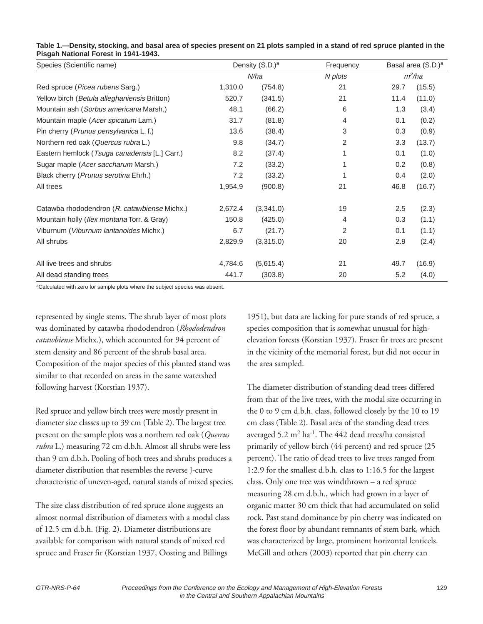| Species (Scientific name)                     | Density (S.D.) <sup>a</sup> |           | Frequency |          | Basal area (S.D.) <sup>a</sup> |  |
|-----------------------------------------------|-----------------------------|-----------|-----------|----------|--------------------------------|--|
|                                               | N/ha                        |           | N plots   | $m^2/ha$ |                                |  |
| Red spruce (Picea rubens Sarg.)               | 1,310.0                     | (754.8)   | 21        | 29.7     | (15.5)                         |  |
| Yellow birch (Betula alleghaniensis Britton)  | 520.7                       | (341.5)   | 21        | 11.4     | (11.0)                         |  |
| Mountain ash (Sorbus americana Marsh.)        | 48.1                        | (66.2)    | 6         | 1.3      | (3.4)                          |  |
| Mountain maple (Acer spicatum Lam.)           | 31.7                        | (81.8)    | 4         | 0.1      | (0.2)                          |  |
| Pin cherry (Prunus pensylvanica L. f.)        | 13.6                        | (38.4)    | 3         | 0.3      | (0.9)                          |  |
| Northern red oak (Quercus rubra L.)           | 9.8                         | (34.7)    | 2         | 3.3      | (13.7)                         |  |
| Eastern hemlock (Tsuga canadensis [L.] Carr.) | 8.2                         | (37.4)    |           | 0.1      | (1.0)                          |  |
| Sugar maple (Acer saccharum Marsh.)           | 7.2                         | (33.2)    |           | 0.2      | (0.8)                          |  |
| Black cherry (Prunus serotina Ehrh.)          | 7.2                         | (33.2)    |           | 0.4      | (2.0)                          |  |
| All trees                                     | 1,954.9                     | (900.8)   | 21        | 46.8     | (16.7)                         |  |
| Catawba rhododendron (R. catawbiense Michx.)  | 2,672.4                     | (3,341.0) | 19        | 2.5      | (2.3)                          |  |
| Mountain holly (Ilex montana Torr. & Gray)    | 150.8                       | (425.0)   | 4         | 0.3      | (1.1)                          |  |
| Viburnum (Viburnum lantanoides Michx.)        | 6.7                         | (21.7)    | 2         | 0.1      | (1.1)                          |  |
| All shrubs                                    | 2,829.9                     | (3,315.0) | 20        | 2.9      | (2.4)                          |  |
| All live trees and shrubs                     | 4,784.6                     | (5,615.4) | 21        | 49.7     | (16.9)                         |  |
| All dead standing trees                       | 441.7                       | (303.8)   | 20        | 5.2      | (4.0)                          |  |

#### **Table 1.—Density, stocking, and basal area of species present on 21 plots sampled in a stand of red spruce planted in the Pisgah National Forest in 1941-1943.**

aCalculated with zero for sample plots where the subject species was absent.

represented by single stems. The shrub layer of most plots was dominated by catawba rhododendron (*Rhododendron catawbiense* Michx.), which accounted for 94 percent of stem density and 86 percent of the shrub basal area. Composition of the major species of this planted stand was similar to that recorded on areas in the same watershed following harvest (Korstian 1937).

Red spruce and yellow birch trees were mostly present in diameter size classes up to 39 cm (Table 2). The largest tree present on the sample plots was a northern red oak (*Quercus rubra* L.) measuring 72 cm d.b.h. Almost all shrubs were less than 9 cm d.b.h. Pooling of both trees and shrubs produces a diameter distribution that resembles the reverse J-curve characteristic of uneven-aged, natural stands of mixed species.

The size class distribution of red spruce alone suggests an almost normal distribution of diameters with a modal class of 12.5 cm d.b.h. (Fig. 2). Diameter distributions are available for comparison with natural stands of mixed red spruce and Fraser fir (Korstian 1937, Oosting and Billings

1951), but data are lacking for pure stands of red spruce, a species composition that is somewhat unusual for highelevation forests (Korstian 1937). Fraser fir trees are present in the vicinity of the memorial forest, but did not occur in the area sampled.

The diameter distribution of standing dead trees differed from that of the live trees, with the modal size occurring in the 0 to 9 cm d.b.h. class, followed closely by the 10 to 19 cm class (Table 2). Basal area of the standing dead trees averaged  $5.2 \text{ m}^2 \text{ ha}^{-1}$ . The 442 dead trees/ha consisted primarily of yellow birch (44 percent) and red spruce (25 percent). The ratio of dead trees to live trees ranged from 1:2.9 for the smallest d.b.h. class to 1:16.5 for the largest class. Only one tree was windthrown – a red spruce measuring 28 cm d.b.h., which had grown in a layer of organic matter 30 cm thick that had accumulated on solid rock. Past stand dominance by pin cherry was indicated on the forest floor by abundant remnants of stem bark, which was characterized by large, prominent horizontal lenticels. McGill and others (2003) reported that pin cherry can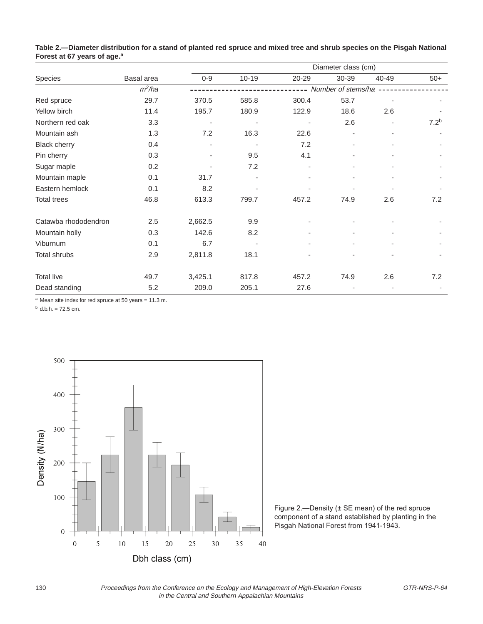|                      |            | Diameter class (cm) |                          |       |       |                          |                  |
|----------------------|------------|---------------------|--------------------------|-------|-------|--------------------------|------------------|
| Species              | Basal area | $0 - 9$             | $10 - 19$                | 20-29 | 30-39 | 40-49                    | $50+$            |
|                      | $m^2/ha$   | Number of stems/ha  |                          |       |       |                          |                  |
| Red spruce           | 29.7       | 370.5               | 585.8                    | 300.4 | 53.7  | $\overline{\phantom{a}}$ |                  |
| Yellow birch         | 11.4       | 195.7               | 180.9                    | 122.9 | 18.6  | 2.6                      |                  |
| Northern red oak     | 3.3        |                     |                          |       | 2.6   |                          | 7.2 <sup>b</sup> |
| Mountain ash         | 1.3        | 7.2                 | 16.3                     | 22.6  |       | $\blacksquare$           |                  |
| <b>Black cherry</b>  | 0.4        |                     | $\overline{\phantom{a}}$ | 7.2   |       | ٠                        |                  |
| Pin cherry           | 0.3        |                     | 9.5                      | 4.1   |       |                          |                  |
| Sugar maple          | 0.2        |                     | 7.2                      |       |       |                          |                  |
| Mountain maple       | 0.1        | 31.7                |                          |       |       |                          |                  |
| Eastern hemlock      | 0.1        | 8.2                 |                          |       |       |                          |                  |
| <b>Total trees</b>   | 46.8       | 613.3               | 799.7                    | 457.2 | 74.9  | 2.6                      | 7.2              |
| Catawba rhododendron | 2.5        | 2,662.5             | 9.9                      |       |       |                          |                  |
| Mountain holly       | 0.3        | 142.6               | 8.2                      |       |       |                          |                  |
| Viburnum             | 0.1        | 6.7                 |                          |       |       |                          |                  |
| <b>Total shrubs</b>  | 2.9        | 2,811.8             | 18.1                     |       |       |                          |                  |
| <b>Total live</b>    | 49.7       | 3,425.1             | 817.8                    | 457.2 | 74.9  | 2.6                      | 7.2              |
| Dead standing        | 5.2        | 209.0               | 205.1                    | 27.6  |       |                          |                  |

**Table 2.—Diameter distribution for a stand of planted red spruce and mixed tree and shrub species on the Pisgah National Forest at 67 years of age.a**

 $a$  Mean site index for red spruce at 50 years = 11.3 m.

 $<sup>b</sup>$  d.b.h. = 72.5 cm.</sup>



Figure 2.—Density (± SE mean) of the red spruce component of a stand established by planting in the Pisgah National Forest from 1941-1943.

130 Proceedings from the Conference on the Ecology and Management of High-Elevation Forests GTR-NRS-P-64 in the Central and Southern Appalachian Mountains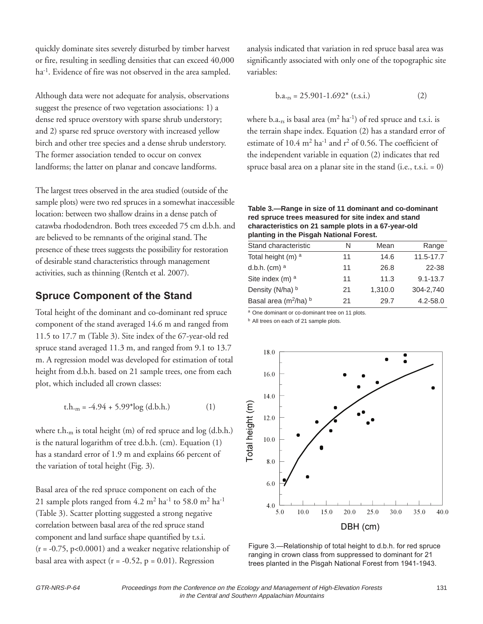quickly dominate sites severely disturbed by timber harvest or fire, resulting in seedling densities that can exceed 40,000 ha<sup>-1</sup>. Evidence of fire was not observed in the area sampled.

Although data were not adequate for analysis, observations suggest the presence of two vegetation associations: 1) a dense red spruce overstory with sparse shrub understory; and 2) sparse red spruce overstory with increased yellow birch and other tree species and a dense shrub understory. The former association tended to occur on convex landforms; the latter on planar and concave landforms.

The largest trees observed in the area studied (outside of the sample plots) were two red spruces in a somewhat inaccessible location: between two shallow drains in a dense patch of catawba rhododendron. Both trees exceeded 75 cm d.b.h. and are believed to be remnants of the original stand. The presence of these trees suggests the possibility for restoration of desirable stand characteristics through management activities, such as thinning (Rentch et al. 2007).

#### **Spruce Component of the Stand**

Total height of the dominant and co-dominant red spruce component of the stand averaged 14.6 m and ranged from 11.5 to 17.7 m (Table 3). Site index of the 67-year-old red spruce stand averaged 11.3 m, and ranged from 9.1 to 13.7 m. A regression model was developed for estimation of total height from d.b.h. based on 21 sample trees, one from each plot, which included all crown classes:

$$
t.h.m = -4.94 + 5.99*log (d.b.h.)
$$
 (1)

where t.h.<sub>m</sub> is total height (m) of red spruce and log (d.b.h.) is the natural logarithm of tree d.b.h. (cm). Equation (1) has a standard error of 1.9 m and explains 66 percent of the variation of total height (Fig. 3).

Basal area of the red spruce component on each of the 21 sample plots ranged from  $4.2 \text{ m}^2 \text{ ha}^{-1}$  to  $58.0 \text{ m}^2 \text{ ha}^{-1}$ (Table 3). Scatter plotting suggested a strong negative correlation between basal area of the red spruce stand component and land surface shape quantified by t.s.i.  $(r = -0.75, p < 0.0001)$  and a weaker negative relationship of basal area with aspect  $(r = -0.52, p = 0.01)$ . Regression

analysis indicated that variation in red spruce basal area was significantly associated with only one of the topographic site variables:

$$
b.a.rs = 25.901-1.692*(t.s.i.)
$$
 (2)

where  $b.a._rs$  is basal area (m<sup>2</sup> ha<sup>-1</sup>) of red spruce and t.s.i. is the terrain shape index. Equation (2) has a standard error of estimate of 10.4 m<sup>2</sup> ha<sup>-1</sup> and r<sup>2</sup> of 0.56. The coefficient of the independent variable in equation (2) indicates that red spruce basal area on a planar site in the stand  $(i.e., t.s.i. = 0)$ 

#### **Table 3.—Range in size of 11 dominant and co-dominant red spruce trees measured for site index and stand characteristics on 21 sample plots in a 67-year-old planting in the Pisgah National Forest.**

| N  | Mean    | Range        |
|----|---------|--------------|
| 11 | 14.6    | 11.5-17.7    |
| 11 | 26.8    | 22-38        |
| 11 | 11.3    | $9.1 - 13.7$ |
| 21 | 1,310.0 | 304-2,740    |
| 21 | 29.7    | $4.2 - 58.0$ |
|    |         |              |

a One dominant or co-dominant tree on 11 plots.

**b** All trees on each of 21 sample plots.



Figure 3.—Relationship of total height to d.b.h. for red spruce ranging in crown class from suppressed to dominant for 21 trees planted in the Pisgah National Forest from 1941-1943.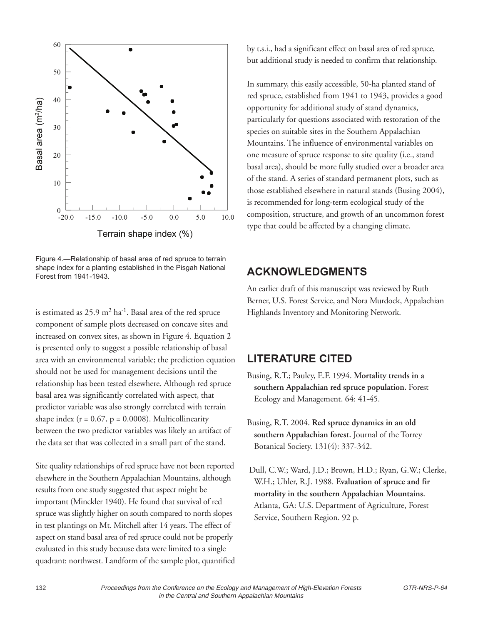

Figure 4.—Relationship of basal area of red spruce to terrain shape index for a planting established in the Pisgah National Forest from 1941-1943.

is estimated as  $25.9 \text{ m}^2 \text{ ha}^{-1}$ . Basal area of the red spruce component of sample plots decreased on concave sites and increased on convex sites, as shown in Figure 4. Equation 2 is presented only to suggest a possible relationship of basal area with an environmental variable; the prediction equation should not be used for management decisions until the relationship has been tested elsewhere. Although red spruce basal area was significantly correlated with aspect, that predictor variable was also strongly correlated with terrain shape index  $(r = 0.67, p = 0.0008)$ . Multicollinearity between the two predictor variables was likely an artifact of the data set that was collected in a small part of the stand.

Site quality relationships of red spruce have not been reported elsewhere in the Southern Appalachian Mountains, although results from one study suggested that aspect might be important (Minckler 1940). He found that survival of red spruce was slightly higher on south compared to north slopes in test plantings on Mt. Mitchell after 14 years. The effect of aspect on stand basal area of red spruce could not be properly evaluated in this study because data were limited to a single quadrant: northwest. Landform of the sample plot, quantified by t.s.i., had a significant effect on basal area of red spruce, but additional study is needed to confirm that relationship.

In summary, this easily accessible, 50-ha planted stand of red spruce, established from 1941 to 1943, provides a good opportunity for additional study of stand dynamics, particularly for questions associated with restoration of the species on suitable sites in the Southern Appalachian Mountains. The influence of environmental variables on one measure of spruce response to site quality (i.e., stand basal area), should be more fully studied over a broader area of the stand. A series of standard permanent plots, such as those established elsewhere in natural stands (Busing 2004), is recommended for long-term ecological study of the composition, structure, and growth of an uncommon forest type that could be affected by a changing climate.

## **ACKNOWLEDGMENTS**

An earlier draft of this manuscript was reviewed by Ruth Berner, U.S. Forest Service, and Nora Murdock, Appalachian Highlands Inventory and Monitoring Network.

## **LITERATURE CITED**

- Busing, R.T.; Pauley, E.F. 1994. **Mortality trends in a southern Appalachian red spruce population.** Forest Ecology and Management. 64: 41-45.
- Busing, R.T. 2004. **Red spruce dynamics in an old southern Appalachian forest.** Journal of the Torrey Botanical Society. 131(4): 337-342.
- Dull, C.W.; Ward, J.D.; Brown, H.D.; Ryan, G.W.; Clerke, W.H.; Uhler, R.J. 1988. **Evaluation of spruce and fir mortality in the southern Appalachian Mountains.** Atlanta, GA: U.S. Department of Agriculture, Forest Service, Southern Region. 92 p.